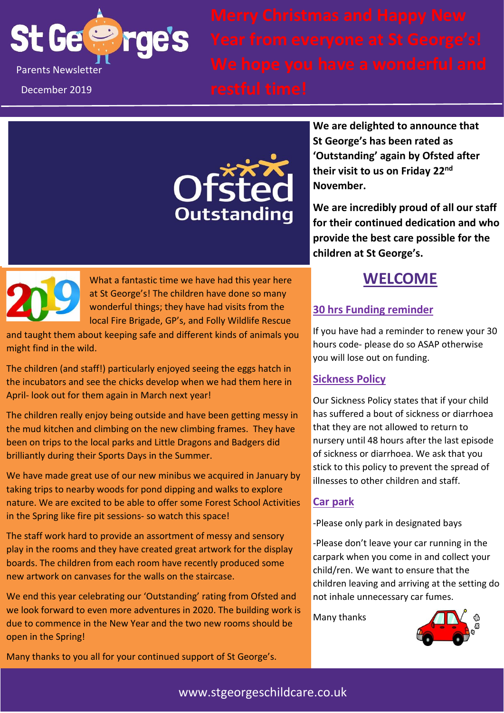

Parts Newsletter **September 2019 We hope you have a wonderful and** 

December 2019



**We are delighted to announce that St George's has been rated as 'Outstanding' again by Ofsted after their visit to us on Friday 22nd November.**

**We are incredibly proud of all our staff for their continued dedication and who provide the best care possible for the children at St George's.**



What a fantastic time we have had this year here at St George's! The children have done so many wonderful things; they have had visits from the local Fire Brigade, GP's, and Folly Wildlife Rescue

and taught them about keeping safe and different kinds of animals you might find in the wild.

The children (and staff!) particularly enjoyed seeing the eggs hatch in the incubators and see the chicks develop when we had them here in April- look out for them again in March next year!

The children really enjoy being outside and have been getting messy in the mud kitchen and climbing on the new climbing frames. They have been on trips to the local parks and Little Dragons and Badgers did brilliantly during their Sports Days in the Summer.

We have made great use of our new minibus we acquired in January by taking trips to nearby woods for pond dipping and walks to explore nature. We are excited to be able to offer some Forest School Activities in the Spring like fire pit sessions- so watch this space!

The staff work hard to provide an assortment of messy and sensory play in the rooms and they have created great artwork for the display boards. The children from each room have recently produced some new artwork on canvases for the walls on the staircase.

We end this year celebrating our 'Outstanding' rating from Ofsted and we look forward to even more adventures in 2020. The building work is due to commence in the New Year and the two new rooms should be open in the Spring!

Many thanks to you all for your continued support of St George's.

## **WELCOME**

### **30 hrs Funding reminder**

If you have had a reminder to renew your 30 hours code- please do so ASAP otherwise you will lose out on funding.

### **Sickness Policy**

Our Sickness Policy states that if your child has suffered a bout of sickness or diarrhoea that they are not allowed to return to nursery until 48 hours after the last episode of sickness or diarrhoea. We ask that you stick to this policy to prevent the spread of illnesses to other children and staff.

### **Car park**

-Please only park in designated bays

-Please don't leave your car running in the carpark when you come in and collect your child/ren. We want to ensure that the children leaving and arriving at the setting do not inhale unnecessary car fumes.

Many thanks

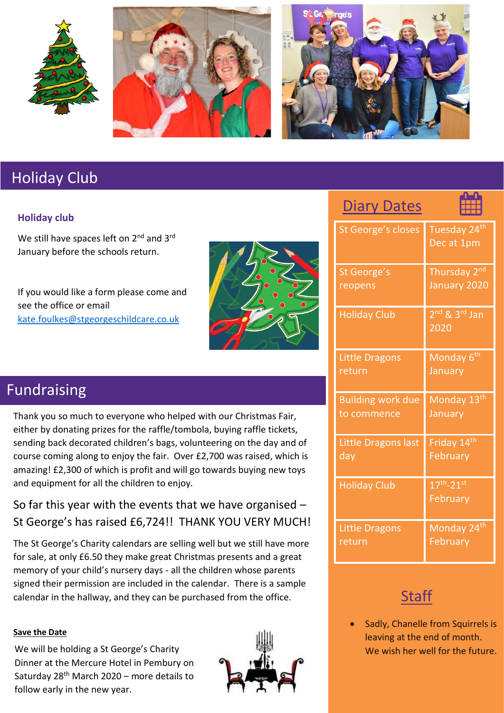





Diary Dates

# Holiday Club

### **Holiday club**

We still have spaces left on 2<sup>nd</sup> and 3<sup>rd</sup> January before the schools return.

If you would like a form please come and see the office or email [kate.foulkes@stgeorgeschildcare.co.uk](mailto:kate.foulkes@stgeorgeschildcare.co.uk)



| $\overline{\mathsf{v}}$ ig i<br>ノいししつ |                                        |
|---------------------------------------|----------------------------------------|
| <b>St George's closes</b>             | Tuesday 24 <sup>th</sup><br>Dec at 1pm |
| St George's                           | Thursday 2 <sup>nd</sup>               |
| reopens                               | January 2020                           |
| <b>Holiday Club</b>                   | $2nd$ & $3rd$ Jan<br>2020              |
| <b>Little Dragons</b>                 | Monday 6 <sup>th</sup>                 |
| return                                | January                                |
| <b>Building work due</b>              | Monday 13th                            |
| to commence                           | January                                |
| Little Dragons last                   | Friday 14 <sup>th</sup>                |
| $d$ ay                                | February                               |
| <b>Holiday Club</b>                   | $17th - 21st$<br>February              |
| <b>Little Dragons</b>                 | Monday 24th                            |
| return                                | February                               |

# **Staff**

• Sadly, Chanelle from Squirrels is leaving at the end of month. We wish her well for the future.

# Fundraising

Thank you so much to everyone who helped with our Christmas Fair, either by donating prizes for the raffle/tombola, buying raffle tickets, sending back decorated children's bags, volunteering on the day and of course coming along to enjoy the fair. Over £2,700 was raised, which is amazing! £2,300 of which is profit and will go towards buying new toys and equipment for all the children to enjoy.

So far this year with the events that we have organised – St George's has raised £6,724!! THANK YOU VERY MUCH!

The St George's Charity calendars are selling well but we still have more for sale, at only £6.50 they make great Christmas presents and a great memory of your child's nursery days - all the children whose parents signed their permission are included in the calendar. There is a sample calendar in the hallway, and they can be purchased from the office.

#### **Save the Date**

We will be holding a St George's Charity Dinner at the Mercure Hotel in Pembury on Saturday  $28<sup>th</sup>$  March 2020 – more details to follow early in the new year.

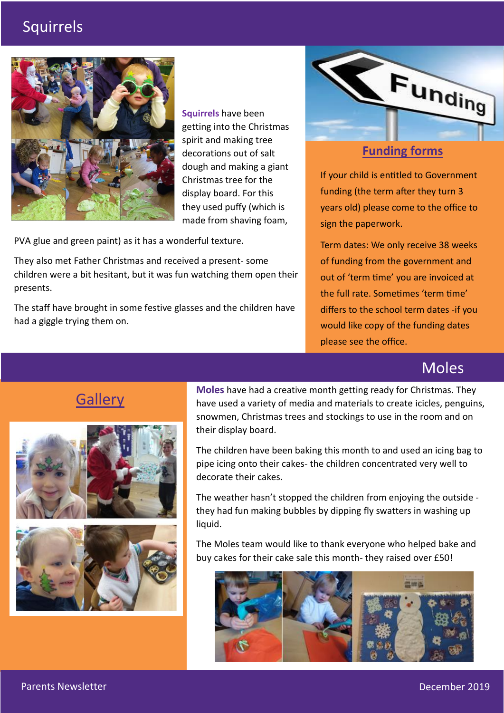## Squirrels



**Squirrels** have been getting into the Christmas spirit and making tree decorations out of salt dough and making a giant Christmas tree for the display board. For this they used puffy (which is made from shaving foam,

PVA glue and green paint) as it has a wonderful texture.

They also met Father Christmas and received a present- some children were a bit hesitant, but it was fun watching them open their presents.

The staff have brought in some festive glasses and the children have had a giggle trying them on.



### **Funding forms**

If your child is entitled to Government funding (the term after they turn 3 years old) please come to the office to sign the paperwork.

Term dates: We only receive 38 weeks of funding from the government and out of 'term time' you are invoiced at the full rate. Sometimes 'term time' differs to the school term dates -if you would like copy of the funding dates please see the office.

## Moles

## **Gallery**



**Moles** have had a creative month getting ready for Christmas. They have used a variety of media and materials to create icicles, penguins, snowmen, Christmas trees and stockings to use in the room and on their display board.

The children have been baking this month to and used an icing bag to pipe icing onto their cakes- the children concentrated very well to decorate their cakes.

The weather hasn't stopped the children from enjoying the outside they had fun making bubbles by dipping fly swatters in washing up liquid.

The Moles team would like to thank everyone who helped bake and buy cakes for their cake sale this month- they raised over £50!